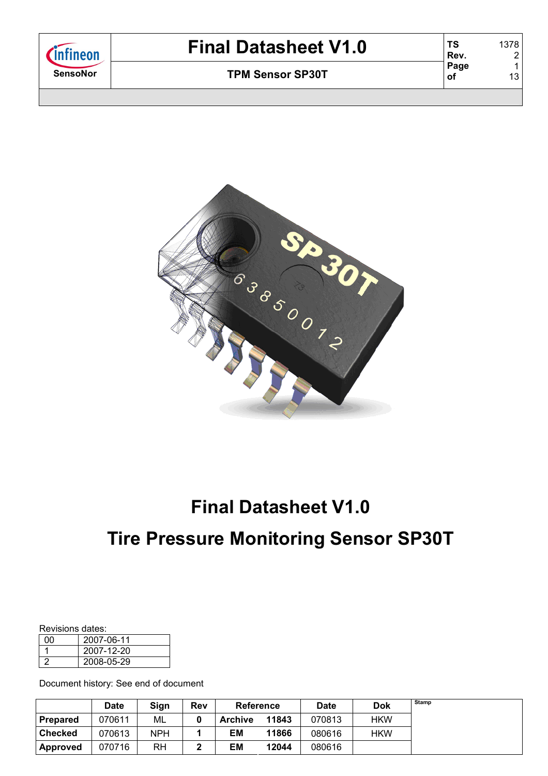| <i>C</i> infineon | <b>Final Datasheet V1.0</b> | ΤS<br>Rev. | 1378            |
|-------------------|-----------------------------|------------|-----------------|
| <b>SensoNor</b>   | <b>TPM Sensor SP30T</b>     | Page<br>оf | 13 <sub>1</sub> |
|                   |                             |            |                 |



# **Tire Pressure Monitoring Sensor SP30T**

#### Revisions dates:

| ሰበ | 2007-06-11 |
|----|------------|
|    | 2007-12-20 |
|    | 2008-05-29 |

Document history: See end of document

|                 | <b>Date</b> | Sign       | Rev |                | <b>Reference</b> |        | <b>Dok</b> | Stamp |
|-----------------|-------------|------------|-----|----------------|------------------|--------|------------|-------|
| <b>Prepared</b> | 070611      | ML         |     | <b>Archive</b> | 11843            | 070813 | <b>HKW</b> |       |
| <b>Checked</b>  | 070613      | <b>NPH</b> |     | ΕM             | 11866            | 080616 | <b>HKW</b> |       |
| <b>Approved</b> | 070716      | RH         |     | ΕM             | 12044            | 080616 |            |       |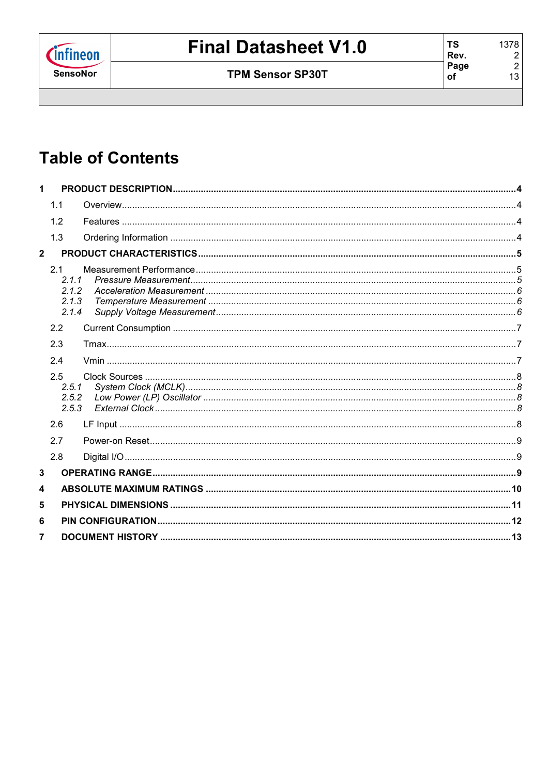

# **Table of Contents**

| 1              |       |  |
|----------------|-------|--|
|                | 1.1   |  |
|                | 1.2   |  |
|                | 1.3   |  |
| $\overline{2}$ |       |  |
|                | 2.1   |  |
|                | 2.1.1 |  |
|                | 2.1.2 |  |
|                | 2.1.3 |  |
|                | 2.1.4 |  |
|                | 2.2   |  |
|                | 2.3   |  |
|                | 2.4   |  |
|                | 2.5   |  |
|                | 2.5.1 |  |
|                | 2.5.2 |  |
|                | 2.5.3 |  |
|                | 2.6   |  |
|                | 2.7   |  |
|                | 2.8   |  |
| 3              |       |  |
| 4              |       |  |
|                |       |  |
| 5              |       |  |
| 6              |       |  |
| $\overline{7}$ |       |  |
|                |       |  |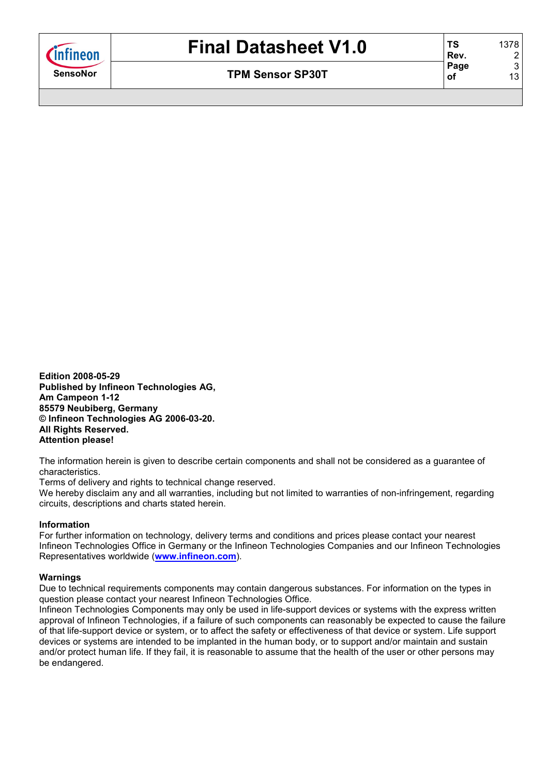

**Edition 2008-05-29 Published by Infineon Technologies AG, Am Campeon 1-12 85579 Neubiberg, Germany © Infineon Technologies AG 2006-03-20. All Rights Reserved. Attention please!** 

The information herein is given to describe certain components and shall not be considered as a guarantee of characteristics.

Terms of delivery and rights to technical change reserved.

We hereby disclaim any and all warranties, including but not limited to warranties of non-infringement, regarding circuits, descriptions and charts stated herein.

#### **Information**

For further information on technology, delivery terms and conditions and prices please contact your nearest Infineon Technologies Office in Germany or the Infineon Technologies Companies and our Infineon Technologies Representatives worldwide (**www.infineon.com**).

#### **Warnings**

Due to technical requirements components may contain dangerous substances. For information on the types in question please contact your nearest Infineon Technologies Office.

Infineon Technologies Components may only be used in life-support devices or systems with the express written approval of Infineon Technologies, if a failure of such components can reasonably be expected to cause the failure of that life-support device or system, or to affect the safety or effectiveness of that device or system. Life support devices or systems are intended to be implanted in the human body, or to support and/or maintain and sustain and/or protect human life. If they fail, it is reasonable to assume that the health of the user or other persons may be endangered.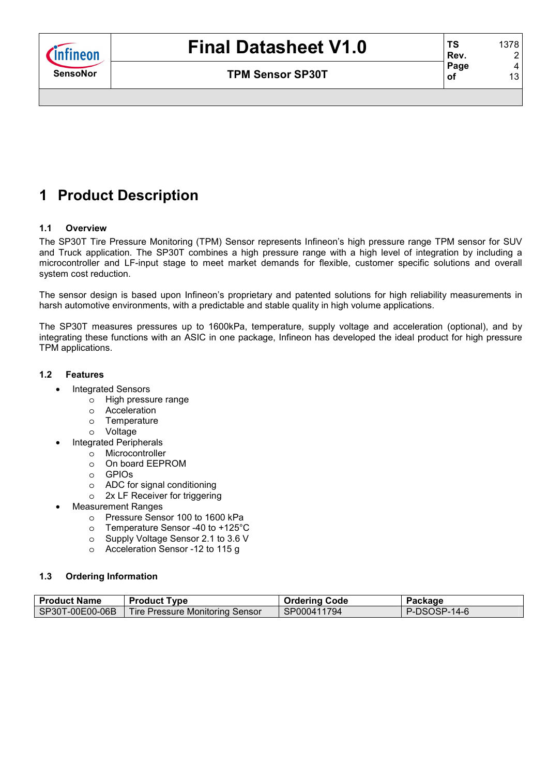

# **1 Product Description**

#### **1.1 Overview**

The SP30T Tire Pressure Monitoring (TPM) Sensor represents Infineon's high pressure range TPM sensor for SUV and Truck application. The SP30T combines a high pressure range with a high level of integration by including a microcontroller and LF-input stage to meet market demands for flexible, customer specific solutions and overall system cost reduction.

The sensor design is based upon Infineon's proprietary and patented solutions for high reliability measurements in harsh automotive environments, with a predictable and stable quality in high volume applications.

The SP30T measures pressures up to 1600kPa, temperature, supply voltage and acceleration (optional), and by integrating these functions with an ASIC in one package, Infineon has developed the ideal product for high pressure TPM applications.

#### **1.2 Features**

- Integrated Sensors
	- o High pressure range
	- o Acceleration
	- o Temperature
	- o Voltage
- Integrated Peripherals
	- o Microcontroller
	- o On board EEPROM
	- o GPIOs
	- o ADC for signal conditioning
	- o 2x LF Receiver for triggering
- Measurement Ranges
	- o Pressure Sensor 100 to 1600 kPa
	- o Temperature Sensor -40 to +125°C
	- o Supply Voltage Sensor 2.1 to 3.6 V
	- o Acceleration Sensor -12 to 115 g

#### **1.3 Ordering Information**

| <b>Product Name</b> | <b>Product Type</b>             | <b>Ordering Code</b> | Package      |
|---------------------|---------------------------------|----------------------|--------------|
| SP30T-00E00-06B     | Tire Pressure Monitoring Sensor | SP000411794          | P-DSOSP-14-6 |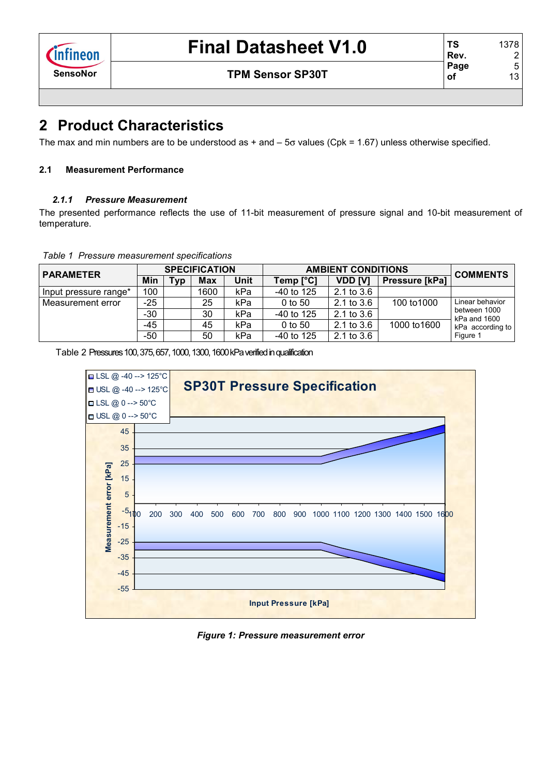**TS Rev.** 

**of** 

### **SensoNor TPM Sensor SP30T**

## **2 Product Characteristics**

The max and min numbers are to be understood as  $+$  and  $-$  5 $\sigma$  values (Cpk = 1.67) unless otherwise specified.

#### **2.1 Measurement Performance**

#### *2.1.1 Pressure Measurement*

The presented performance reflects the use of 11-bit measurement of pressure signal and 10-bit measurement of temperature.

*Table 1 Pressure measurement specifications*

| <b>PARAMETER</b>      |       |                 | <b>SPECIFICATION</b> |      | <b>AMBIENT CONDITIONS</b> | <b>COMMENTS</b> |                |                              |
|-----------------------|-------|-----------------|----------------------|------|---------------------------|-----------------|----------------|------------------------------|
|                       | Min   | T <sub>VP</sub> | <b>Max</b>           | Unit | Temp [°C]                 | VDD [V]         | Pressure [kPa] |                              |
| Input pressure range* | 100   |                 | 1600                 | kPa  | -40 to 125                | $2.1$ to $3.6$  |                |                              |
| l Measurement error   | $-25$ |                 | 25                   | kPa  | $0$ to 50                 | $2.1$ to $3.6$  | 100 to 1000    | Linear behavior              |
|                       | $-30$ |                 | 30                   | kPa  | $-40$ to 125              | 2.1 to 3.6      |                | between 1000<br>kPa and 1600 |
|                       | -45   |                 | 45                   | kPa  | $0$ to 50                 | $2.1$ to $3.6$  | 1000 to 1600   | kPa according to             |
|                       | $-50$ |                 | 50                   | kPa  | $-40$ to 125              | $2.1$ to $3.6$  |                | Figure 1                     |

Table 2 Pressures 100, 375, 657, 1000, 1300, 1600 kPa verified in qualification



*Figure 1: Pressure measurement error*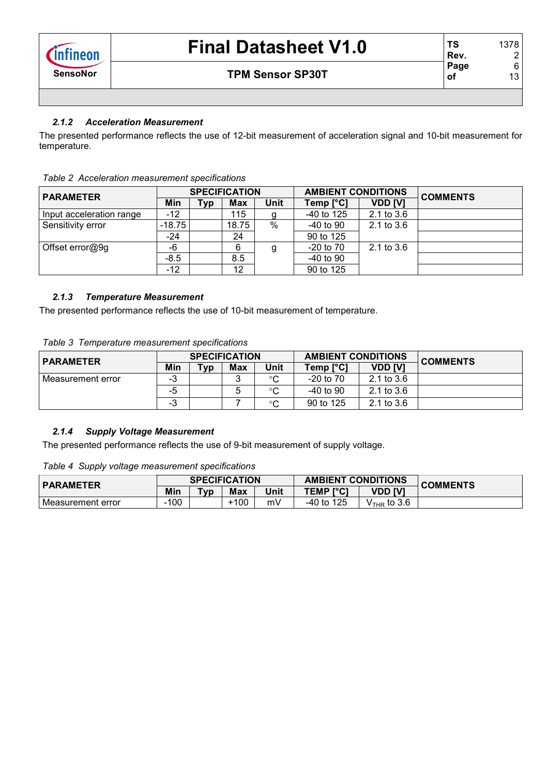## *2.1.2 Acceleration Measurement*

The presented performance reflects the use of 12-bit measurement of acceleration signal and 10-bit measurement for temperature.

| <b>PARAMETER</b>         |          |            | <b>SPECIFICATION</b> |             | <b>AMBIENT CONDITIONS</b> |                | <b>COMMENTS</b> |
|--------------------------|----------|------------|----------------------|-------------|---------------------------|----------------|-----------------|
|                          | Min      | <b>Typ</b> | <b>Max</b>           | <b>Unit</b> | Temp [°C]                 | <b>VDD [V]</b> |                 |
| Input acceleration range | -12      |            | 115                  | g           | $-40$ to 125              | $2.1$ to $3.6$ |                 |
| Sensitivity error        | $-18.75$ |            | 18.75                | $\%$        | $-40$ to $90$             | 2.1 to $3.6$   |                 |
|                          | $-24$    |            | 24                   |             | 90 to 125                 |                |                 |
| Offset error@9g          | -6       |            | 6                    | g           | $-20$ to $70$             | $2.1$ to $3.6$ |                 |
|                          | $-8.5$   |            | 8.5                  |             | $-40$ to 90               |                |                 |
|                          | -12      |            | 12                   |             | 90 to 125                 |                |                 |

### *Table 2 Acceleration measurement specifications*

### *2.1.3 Temperature Measurement*

The presented performance reflects the use of 10-bit measurement of temperature.

|  |  | Table 3 Temperature measurement specifications |  |
|--|--|------------------------------------------------|--|
|--|--|------------------------------------------------|--|

| <b>PARAMETER</b>    |         |            | <b>SPECIFICATION</b> |         | <b>AMBIENT CONDITIONS</b> |                | <b>COMMENTS</b> |
|---------------------|---------|------------|----------------------|---------|---------------------------|----------------|-----------------|
|                     | Min     | <b>Typ</b> | Max                  | Unit    | Temp [°C]                 | <b>VDD [V]</b> |                 |
| l Measurement error | ົ<br>-ა |            |                      | $\circ$ | $-20$ to $70$             | $2.1$ to $3.6$ |                 |
|                     | -5      |            |                      | $\circ$ | $-40$ to $90$             | $2.1$ to $3.6$ |                 |
|                     | -ა      |            |                      | °C      | 90 to 125                 | $2.1$ to $3.6$ |                 |

### *2.1.4 Supply Voltage Measurement*

The presented performance reflects the use of 9-bit measurement of supply voltage.

*Table 4 Supply voltage measurement specifications*

| <b>PARAMETER</b>  |     |                 | <b>SPECIFICATION</b> |             | <b>AMBIENT CONDITIONS</b> |               | <b>COMMENTS</b> |  |
|-------------------|-----|-----------------|----------------------|-------------|---------------------------|---------------|-----------------|--|
|                   | Min | T <sub>VD</sub> | <b>Max</b>           | <b>Unit</b> | <b>TEMP [°C]</b>          | VDD [V]       |                 |  |
| Measurement error | 100 |                 | $-100$               | mV          | -40 to 125                | $VTHR$ to 3.6 |                 |  |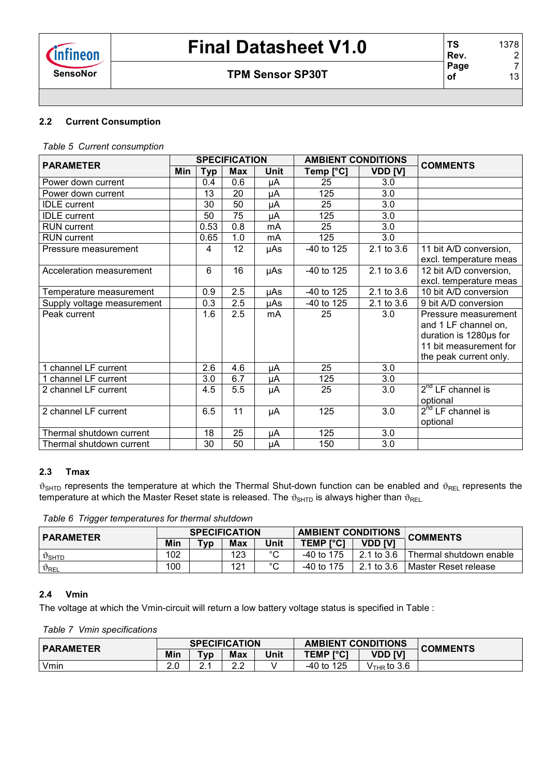## **SensoNor TPM Sensor SP30T**

## **2.2 Current Consumption**

*Table 5 Current consumption*

| <b>PARAMETER</b>           |            |            | <b>SPECIFICATION</b> |      | <b>AMBIENT CONDITIONS</b> |                | <b>COMMENTS</b>        |
|----------------------------|------------|------------|----------------------|------|---------------------------|----------------|------------------------|
|                            | <b>Min</b> | <b>Typ</b> | <b>Max</b>           | Unit | Temp [°C]                 | <b>VDD [V]</b> |                        |
| Power down current         |            | 0.4        | 0.6                  | μA   | 25                        | 3.0            |                        |
| Power down current         |            | 13         | 20                   | μA   | 125                       | 3.0            |                        |
| <b>IDLE</b> current        |            | 30         | 50                   | μA   | 25                        | 3.0            |                        |
| <b>IDLE</b> current        |            | 50         | $\overline{75}$      | μA   | 125                       | 3.0            |                        |
| <b>RUN</b> current         |            | 0.53       | 0.8                  | mA   | 25                        | 3.0            |                        |
| <b>RUN</b> current         |            | 0.65       | 1.0                  | mA   | 125                       | 3.0            |                        |
| Pressure measurement       |            | 4          | 12                   | µAs  | -40 to 125                | 2.1 to 3.6     | 11 bit A/D conversion, |
|                            |            |            |                      |      |                           |                | excl. temperature meas |
| Acceleration measurement   |            | 6          | 16                   | µAs  | -40 to 125                | 2.1 to 3.6     | 12 bit A/D conversion, |
|                            |            |            |                      |      |                           |                | excl. temperature meas |
| Temperature measurement    |            | 0.9        | 2.5                  | μAs  | -40 to 125                | 2.1 to 3.6     | 10 bit A/D conversion  |
| Supply voltage measurement |            | 0.3        | 2.5                  | μAs  | -40 to 125                | 2.1 to 3.6     | 9 bit A/D conversion   |
| Peak current               |            | 1.6        | 2.5                  | mA   | 25                        | 3.0            | Pressure measurement   |
|                            |            |            |                      |      |                           |                | and 1 LF channel on,   |
|                            |            |            |                      |      |                           |                | duration is 1280us for |
|                            |            |            |                      |      |                           |                | 11 bit measurement for |
|                            |            |            |                      |      |                           |                | the peak current only. |
| channel LF current         |            | 2.6        | 4.6                  | μA   | 25                        | 3.0            |                        |
| channel LF current         |            | 3.0        | 6.7                  | μA   | 125                       | 3.0            |                        |
| 2 channel LF current       |            | 4.5        | 5.5                  | μA   | 25                        | 3.0            | $2^{nd}$ LF channel is |
|                            |            |            |                      |      |                           |                | optional               |
| 2 channel LF current       |            | 6.5        | 11                   | μA   | 125                       | 3.0            | $2nd$ LF channel is    |
|                            |            |            |                      |      |                           |                | optional               |
| Thermal shutdown current   |            | 18         | 25                   | μA   | 125                       | 3.0            |                        |
| Thermal shutdown current   |            | 30         | 50                   | μA   | 150                       | 3.0            |                        |

#### **2.3 Tmax**

 $\vartheta_{\text{SHTD}}$  represents the temperature at which the Thermal Shut-down function can be enabled and  $\vartheta_{\text{REL}}$  represents the temperature at which the Master Reset state is released. The  $\vartheta_{\text{SHTD}}$  is always higher than  $\vartheta_{\text{REL}}$ .

*Table 6 Trigger temperatures for thermal shutdown*

| <b>PARAMETER</b>            |     |     | <b>SPECIFICATION</b> |             | <b>AMBIENT CONDITIONS</b> |                | <b>COMMENTS</b>         |
|-----------------------------|-----|-----|----------------------|-------------|---------------------------|----------------|-------------------------|
|                             | Min | Typ | Max                  | Unit        | <b>TEMP [°C]</b>          | <b>VDD IVI</b> |                         |
| $\vartheta_{\texttt{SHTD}}$ | 102 |     | 123                  | $\sim$<br>ັ | $-40$ to 175              | 2.1 to 3.6     | Thermal shutdown enable |
| $\vartheta_{\mathsf{REL}}$  | 100 |     | 121                  | $\sim$      | $-40$ to 175              | 2.1 to 3.6     | l Master Reset release  |

#### **2.4 Vmin**

The voltage at which the Vmin-circuit will return a low battery voltage status is specified in Table :

*Table 7 Vmin specifications*

| <b>PARAMETER</b> |            |                 | <b>SPECIFICATION</b> |      | <b>AMBIENT CONDITIONS</b> |                         | <b>COMMENTS</b> |
|------------------|------------|-----------------|----------------------|------|---------------------------|-------------------------|-----------------|
|                  | Min        | T <sub>VD</sub> | <b>Max</b>           | Unit | <b>TEMP [°C]</b>          | VDD [V]                 |                 |
| Vmin             | ን ስ<br>Z.U | <u>.</u>        | ົາ າ<br><u>_._</u>   |      | 125<br>-40 to             | $V_{\text{THR}}$ to 3.6 |                 |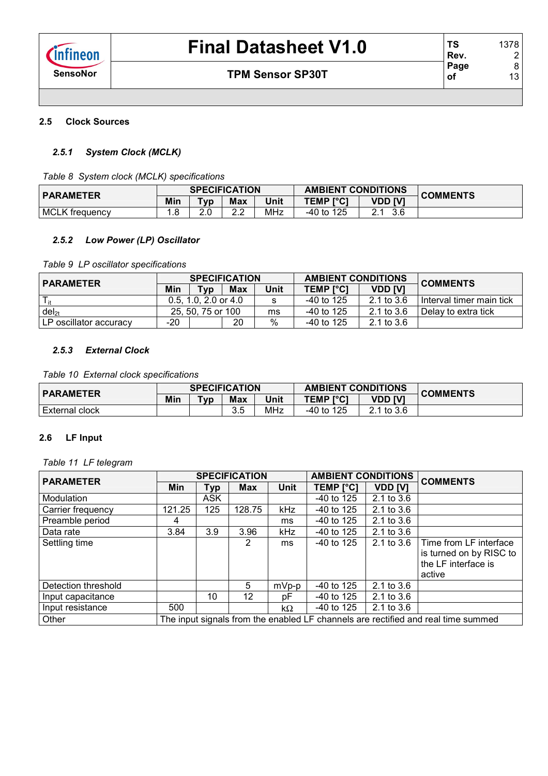#### **2.5 Clock Sources**

#### *2.5.1 System Clock (MCLK)*

*Table 8 System clock (MCLK) specifications*

| <b>PARAMETER</b>      |       | <b>SPECIFICATION</b> |                          |            | <b>AMBIENT CONDITIONS</b> |         | <b>COMMENTS</b> |
|-----------------------|-------|----------------------|--------------------------|------------|---------------------------|---------|-----------------|
|                       | Min   | [vp                  | <b>Max</b>               | Unit       | <b>TEMP [°C]</b>          | VDD [V] |                 |
| <b>MCLK</b> frequency | . . ٥ | ົດ<br>ے.             | <u>^</u> ^<br><u>L.L</u> | <b>MHz</b> | $-40$ to 125              | 3.6     |                 |

#### *2.5.2 Low Power (LP) Oscillator*

*Table 9 LP oscillator specifications*

| <b>PARAMETER</b>         |     | <b>SPECIFICATION</b>     |     |      | <b>AMBIENT CONDITIONS</b> |                | <b>COMMENTS</b>            |
|--------------------------|-----|--------------------------|-----|------|---------------------------|----------------|----------------------------|
|                          | Min | Tvp                      | Max | Unit | <b>TEMP [°C]</b>          | <b>VDD [V]</b> |                            |
|                          |     | $0.5, 1.0, 2.0$ or $4.0$ |     |      | $-40$ to 125              | 2.1 to 3.6     | l Interval timer main tick |
| $del_{2t}$               |     | 25, 50, 75 or 100        |     |      | -40 to 125                | 2.1 to 3.6     | Delay to extra tick        |
| l LP oscillator accuracv | -20 |                          | 20  | %    | $-40$ to 125              | $2.1$ to $3.6$ |                            |

#### *2.5.3 External Clock*

*Table 10 External clock specifications*

| <b>PARAMETER</b> |     |        | <b>SPECIFICATION</b> |      | <b>AMBIENT CONDITIONS</b>          |            | <b>COMMENTS</b> |
|------------------|-----|--------|----------------------|------|------------------------------------|------------|-----------------|
|                  | Min | $Tv$ p | <b>Max</b>           | Unit | <b>VDD IV'</b><br><b>TEMP [°C]</b> |            |                 |
| External clock   |     |        | 3 5<br>ບ.ບ           | MHz  | -40 to 125                         | 2.1 to 3.6 |                 |

#### **2.6 LF Input**

*Table 11 LF telegram*

| <b>PARAMETER</b>    |                                                                                   |            | <b>SPECIFICATION</b> |             | <b>AMBIENT CONDITIONS</b> |                | <b>COMMENTS</b>                                                                    |  |  |
|---------------------|-----------------------------------------------------------------------------------|------------|----------------------|-------------|---------------------------|----------------|------------------------------------------------------------------------------------|--|--|
|                     | Min                                                                               | Тур        | <b>Max</b>           | <b>Unit</b> | TEMP [°C]                 | <b>VDD [V]</b> |                                                                                    |  |  |
| Modulation          |                                                                                   | <b>ASK</b> |                      |             | $-40$ to 125              | 2.1 to 3.6     |                                                                                    |  |  |
| Carrier frequency   | 121.25                                                                            | 125        | 128.75               | kHz         | $-40$ to 125              | 2.1 to 3.6     |                                                                                    |  |  |
| Preamble period     | 4                                                                                 |            |                      | ms          | $-40$ to 125              | $2.1$ to $3.6$ |                                                                                    |  |  |
| Data rate           | 3.84                                                                              | 3.9        | 3.96                 | kHz         | $-40$ to 125              | 2.1 to $3.6$   |                                                                                    |  |  |
| Settling time       |                                                                                   |            | 2                    | ms          | $-40$ to 125              | 2.1 to $3.6$   | Time from LF interface<br>is turned on by RISC to<br>the LF interface is<br>active |  |  |
| Detection threshold |                                                                                   |            | 5                    | $mVp-p$     | $-40$ to 125              | 2.1 to $3.6$   |                                                                                    |  |  |
| Input capacitance   |                                                                                   | 10         | 12                   | рF          | $-40$ to 125              | $2.1$ to $3.6$ |                                                                                    |  |  |
| Input resistance    | 500                                                                               |            |                      | $k\Omega$   | $-40$ to 125              | $2.1$ to $3.6$ |                                                                                    |  |  |
| Other               | The input signals from the enabled LF channels are rectified and real time summed |            |                      |             |                           |                |                                                                                    |  |  |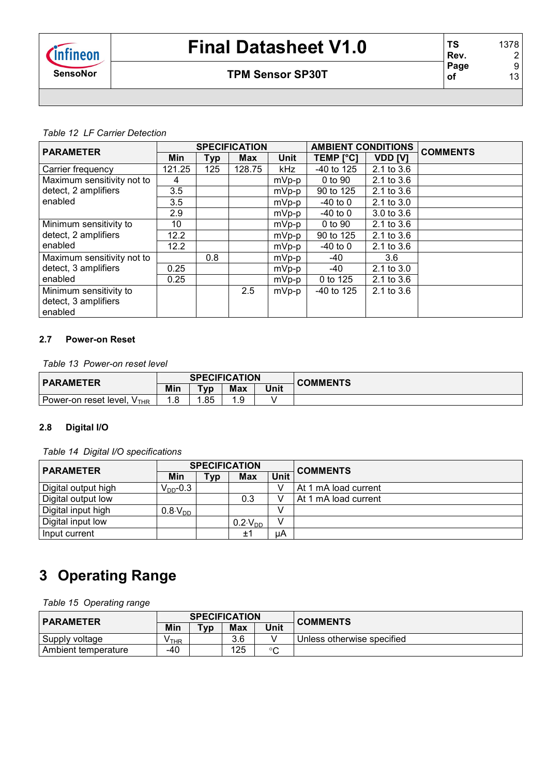### **SensoNor TPM Sensor SP30T**

| <b>PARAMETER</b>           |        |     | <b>SPECIFICATION</b> |             | <b>AMBIENT CONDITIONS</b> |                       | <b>COMMENTS</b> |
|----------------------------|--------|-----|----------------------|-------------|---------------------------|-----------------------|-----------------|
|                            | Min    | Typ | <b>Max</b>           | <b>Unit</b> | <b>TEMP [°C]</b>          | <b>VDD [V]</b>        |                 |
| Carrier frequency          | 121.25 | 125 | 128.75               | kHz         | $-40$ to 125              | $2.1$ to $3.6$        |                 |
| Maximum sensitivity not to | 4      |     |                      | $mVp-p$     | 0 to 90                   | $2.1$ to $3.6$        |                 |
| detect, 2 amplifiers       | 3.5    |     |                      | $mVp-p$     | 90 to 125                 | 2.1 to 3.6            |                 |
| enabled                    | 3.5    |     |                      | $mVp-p$     | $-40$ to $0$              | $2.1$ to $3.0$        |                 |
|                            | 2.9    |     |                      | $mVp-p$     | $-40$ to 0                | $3.0 \text{ to } 3.6$ |                 |
| Minimum sensitivity to     | 10     |     |                      | $mVp-p$     | 0 to 90                   | 2.1 to 3.6            |                 |
| detect, 2 amplifiers       | 12.2   |     |                      | $mVp-p$     | 90 to 125                 | $2.1$ to $3.6$        |                 |
| enabled                    | 12.2   |     |                      | $mVp-p$     | $-40$ to 0                | $2.1$ to $3.6$        |                 |
| Maximum sensitivity not to |        | 0.8 |                      | $mVp-p$     | -40                       | 3.6                   |                 |
| detect, 3 amplifiers       | 0.25   |     |                      | $mVp-p$     | -40                       | 2.1 to 3.0            |                 |
| enabled                    | 0.25   |     |                      | $mVp-p$     | 0 to 125                  | $2.1$ to $3.6$        |                 |
| Minimum sensitivity to     |        |     | 2.5                  | $mVp-p$     | $-40$ to 125              | 2.1 to 3.6            |                 |
| detect, 3 amplifiers       |        |     |                      |             |                           |                       |                 |
| enabled                    |        |     |                      |             |                           |                       |                 |

#### **2.7 Power-on Reset**

*Table 13 Power-on reset level*

| <b>PARAMETER</b>                          |      |                 | <b>SPECIFICATION</b> |      | <b>COMMENTS</b> |
|-------------------------------------------|------|-----------------|----------------------|------|-----------------|
|                                           | Min  | T <sub>VD</sub> | <b>Max</b>           | Unit |                 |
| $V_{\text{THR}}$<br>Power-on reset level. | 8. ا | .85             | 1 Q<br>ن. ا          |      |                 |

#### **2.8 Digital I/O**

*Table 14 Digital I/O specifications*

| <b>PARAMETER</b>    |                    |     | <b>SPECIFICATION</b> |             | <b>COMMENTS</b>      |
|---------------------|--------------------|-----|----------------------|-------------|----------------------|
|                     | Min                | Typ | Max                  | <b>Unit</b> |                      |
| Digital output high | $V_{DD}$ -0.3      |     |                      |             | At 1 mA load current |
| Digital output low  |                    |     | 0.3                  |             | At 1 mA load current |
| Digital input high  | $0.8\text{V}_{DD}$ |     |                      |             |                      |
| Digital input low   |                    |     | $0.2\text{V}_{DD}$   |             |                      |
| Input current       |                    |     | ±1                   | uА          |                      |

# **3 Operating Range**

*Table 15 Operating range*

| <b>PARAMETER</b>    |       |     | <b>SPECIFICATION</b> |              | <b>COMMENTS</b>            |  |
|---------------------|-------|-----|----------------------|--------------|----------------------------|--|
| Min                 | Tvp   | Max | Unit                 |              |                            |  |
| Supply voltage      | ∕ ⊤HR |     | 3.6                  |              | Unless otherwise specified |  |
| Ambient temperature | -40   |     | 125                  | $\circ$<br>◡ |                            |  |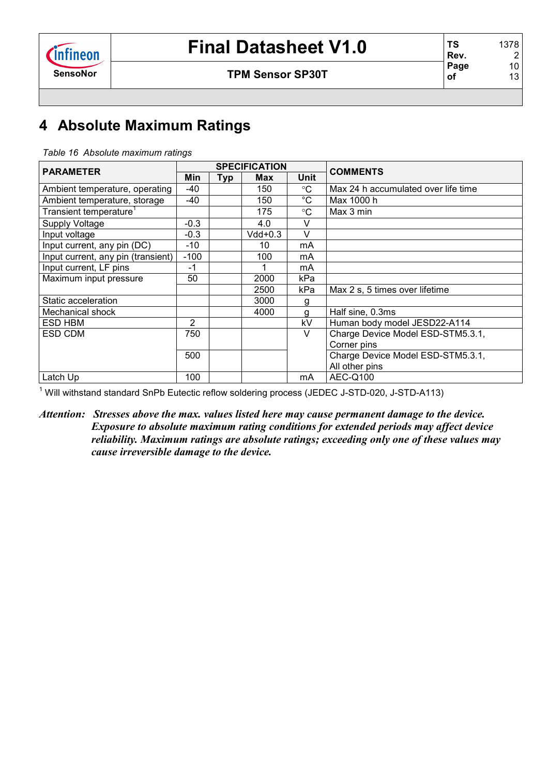## **SensoNor TPM Sensor SP30T**

# **4 Absolute Maximum Ratings**

|  |  | Table 16 Absolute maximum ratings |  |
|--|--|-----------------------------------|--|
|--|--|-----------------------------------|--|

| <b>PARAMETER</b>                   |        |            | <b>SPECIFICATION</b> |                 |                                     |
|------------------------------------|--------|------------|----------------------|-----------------|-------------------------------------|
|                                    | Min    | <b>Typ</b> | <b>Max</b>           | <b>Unit</b>     | <b>COMMENTS</b>                     |
| Ambient temperature, operating     | -40    |            | 150                  | $\rm ^{\circ}C$ | Max 24 h accumulated over life time |
| Ambient temperature, storage       | $-40$  |            | 150                  | $^{\circ}$ C    | Max 1000 h                          |
| Transient temperature <sup>1</sup> |        |            | 175                  | $^{\circ}C$     | Max 3 min                           |
| <b>Supply Voltage</b>              | $-0.3$ |            | 4.0                  | V               |                                     |
| Input voltage                      | $-0.3$ |            | $Vdd+0.3$            | $\vee$          |                                     |
| Input current, any pin (DC)        | -10    |            | 10                   | mA              |                                     |
| Input current, any pin (transient) | $-100$ |            | 100                  | mA              |                                     |
| Input current, LF pins             | $-1$   |            |                      | mA              |                                     |
| Maximum input pressure             | 50     |            | 2000                 | kPa             |                                     |
|                                    |        |            | 2500                 | kPa             | Max 2 s, 5 times over lifetime      |
| Static acceleration                |        |            | 3000                 | g               |                                     |
| Mechanical shock                   |        |            | 4000                 | g               | Half sine, 0.3ms                    |
| ESD HBM                            | 2      |            |                      | kV              | Human body model JESD22-A114        |
| ESD CDM                            | 750    |            |                      | V               | Charge Device Model ESD-STM5.3.1,   |
|                                    |        |            |                      |                 | Corner pins                         |
|                                    | 500    |            |                      |                 | Charge Device Model ESD-STM5.3.1,   |
|                                    |        |            |                      |                 | All other pins                      |
| Latch Up                           | 100    |            |                      | mA              | AEC-Q100                            |

<sup>1</sup> Will withstand standard SnPb Eutectic reflow soldering process (JEDEC J-STD-020, J-STD-A113)

*Attention: Stresses above the max. values listed here may cause permanent damage to the device. Exposure to absolute maximum rating conditions for extended periods may affect device reliability. Maximum ratings are absolute ratings; exceeding only one of these values may cause irreversible damage to the device.*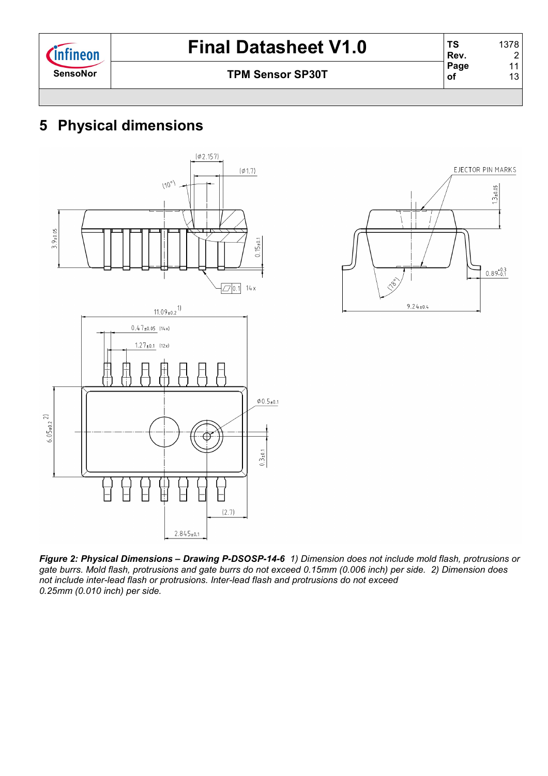2 11 13

# **5 Physical dimensions**





*Figure 2: Physical Dimensions – Drawing P-DSOSP-14-6 1) Dimension does not include mold flash, protrusions or gate burrs. Mold flash, protrusions and gate burrs do not exceed 0.15mm (0.006 inch) per side. 2) Dimension does not include inter-lead flash or protrusions. Inter-lead flash and protrusions do not exceed 0.25mm (0.010 inch) per side.*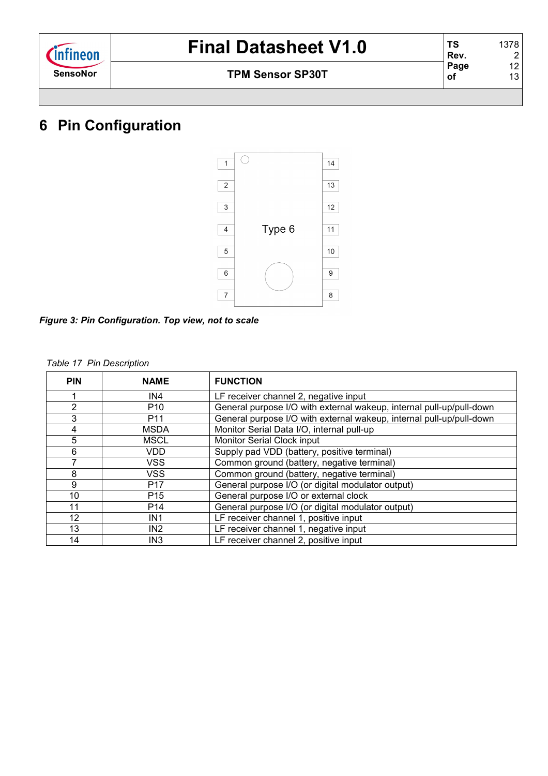| <i><b>Infineon</b></i> |
|------------------------|
| SensoNor               |

# **6 Pin Configuration**



*Figure 3: Pin Configuration. Top view, not to scale* 

#### *Table 17 Pin Description*

| <b>PIN</b> | <b>NAME</b>     | <b>FUNCTION</b>                                                      |
|------------|-----------------|----------------------------------------------------------------------|
|            | IN4             | LF receiver channel 2, negative input                                |
| 2          | P <sub>10</sub> | General purpose I/O with external wakeup, internal pull-up/pull-down |
| 3          | P <sub>11</sub> | General purpose I/O with external wakeup, internal pull-up/pull-down |
| 4          | <b>MSDA</b>     | Monitor Serial Data I/O, internal pull-up                            |
| 5          | <b>MSCL</b>     | Monitor Serial Clock input                                           |
| 6          | <b>VDD</b>      | Supply pad VDD (battery, positive terminal)                          |
| 7          | <b>VSS</b>      | Common ground (battery, negative terminal)                           |
| 8          | <b>VSS</b>      | Common ground (battery, negative terminal)                           |
| 9          | P <sub>17</sub> | General purpose I/O (or digital modulator output)                    |
| 10         | P <sub>15</sub> | General purpose I/O or external clock                                |
| 11         | P <sub>14</sub> | General purpose I/O (or digital modulator output)                    |
| 12         | IN <sub>1</sub> | LF receiver channel 1, positive input                                |
| 13         | IN <sub>2</sub> | LF receiver channel 1, negative input                                |
| 14         | IN <sub>3</sub> | LF receiver channel 2, positive input                                |